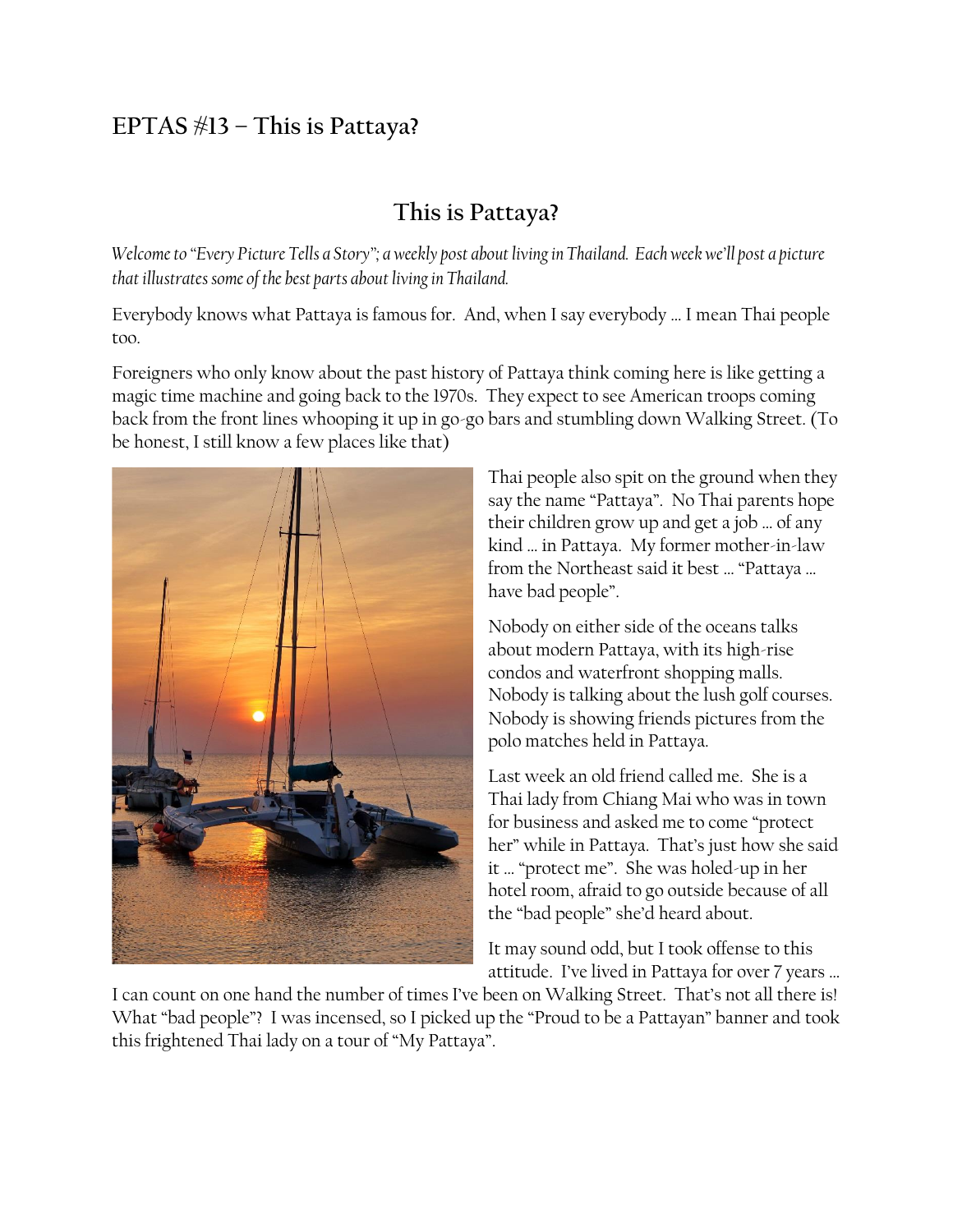## **EPTAS #13 – This is Pattaya?**

## **This is Pattaya?**

*Welcome to "Every Picture Tells a Story"; a weekly post about living in Thailand. Each week we'll post a picture that illustrates some of the best parts about living in Thailand.*

Everybody knows what Pattaya is famous for. And, when I say everybody … I mean Thai people too.

Foreigners who only know about the past history of Pattaya think coming here is like getting a magic time machine and going back to the 1970s. They expect to see American troops coming back from the front lines whooping it up in go-go bars and stumbling down Walking Street. (To be honest, I still know a few places like that)



Thai people also spit on the ground when they say the name "Pattaya". No Thai parents hope their children grow up and get a job … of any kind … in Pattaya. My former mother-in-law from the Northeast said it best … "Pattaya … have bad people".

Nobody on either side of the oceans talks about modern Pattaya, with its high-rise condos and waterfront shopping malls. Nobody is talking about the lush golf courses. Nobody is showing friends pictures from the polo matches held in Pattaya.

Last week an old friend called me. She is a Thai lady from Chiang Mai who was in town for business and asked me to come "protect her" while in Pattaya. That's just how she said it … "protect me". She was holed-up in her hotel room, afraid to go outside because of all the "bad people" she'd heard about.

It may sound odd, but I took offense to this attitude. I've lived in Pattaya for over 7 years …

I can count on one hand the number of times I've been on Walking Street. That's not all there is! What "bad people"? I was incensed, so I picked up the "Proud to be a Pattayan" banner and took this frightened Thai lady on a tour of "My Pattaya".